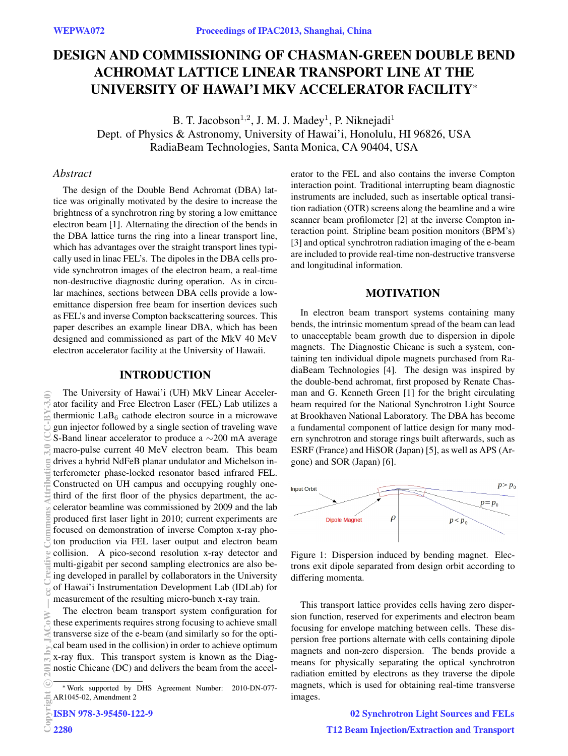# DESIGN AND COMMISSIONING OF CHASMAN-GREEN DOUBLE BEND ACHROMAT LATTICE LINEAR TRANSPORT LINE AT THE UNIVERSITY OF HAWAI'I MKV ACCELERATOR FACILITY<sup>∗</sup>

B. T. Jacobson<sup>1,2</sup>, J. M. J. Madey<sup>1</sup>, P. Niknejadi<sup>1</sup> Dept. of Physics & Astronomy, University of Hawai'i, Honolulu, HI 96826, USA RadiaBeam Technologies, Santa Monica, CA 90404, USA

### *Abstract*

The design of the Double Bend Achromat (DBA) lattice was originally motivated by the desire to increase the brightness of a synchrotron ring by storing a low emittance electron beam [1]. Alternating the direction of the bends in the DBA lattice turns the ring into a linear transport line, which has advantages over the straight transport lines typically used in linac FEL's. The dipoles in the DBA cells provide synchrotron images of the electron beam, a real-time non-destructive diagnostic during operation. As in circular machines, sections between DBA cells provide a lowemittance dispersion free beam for insertion devices such as FEL's and inverse Compton backscattering sources. This paper describes an example linear DBA, which has been designed and commissioned as part of the MkV 40 MeV electron accelerator facility at the University of Hawaii.

### INTRODUCTION

The University of Hawai'i (UH) MkV Linear Accelerator facility and Free Electron Laser (FEL) Lab utilizes a thermionic  $LaB<sub>6</sub>$  cathode electron source in a microwave gun injector followed by a single section of traveling wave S-Band linear accelerator to produce a ∼200 mA average macro-pulse current 40 MeV electron beam. This beam drives a hybrid NdFeB planar undulator and Michelson interferometer phase-locked resonator based infrared FEL. Constructed on UH campus and occupying roughly onethird of the first floor of the physics department, the accelerator beamline was commissioned by 2009 and the lab produced first laser light in 2010; current experiments are focused on demonstration of inverse Compton x-ray photon production via FEL laser output and electron beam collision. A pico-second resolution x-ray detector and multi-gigabit per second sampling electronics are also being developed in parallel by collaborators in the University of Hawai'i Instrumentation Development Lab (IDLab) for measurement of the resulting micro-bunch x-ray train. 2013 by JACoW — cc Creative Commons Attribution 3.0 (CC-BY-3.0)

The electron beam transport system configuration for these experiments requires strong focusing to achieve small transverse size of the e-beam (and similarly so for the optical beam used in the collision) in order to achieve optimum x-ray flux. This transport system is known as the Diagnostic Chicane (DC) and delivers the beam from the accelerator to the FEL and also contains the inverse Compton interaction point. Traditional interrupting beam diagnostic instruments are included, such as insertable optical transition radiation (OTR) screens along the beamline and a wire scanner beam profilometer [2] at the inverse Compton interaction point. Stripline beam position monitors (BPM's) [3] and optical synchrotron radiation imaging of the e-beam are included to provide real-time non-destructive transverse and longitudinal information.

## MOTIVATION

In electron beam transport systems containing many bends, the intrinsic momentum spread of the beam can lead to unacceptable beam growth due to dispersion in dipole magnets. The Diagnostic Chicane is such a system, containing ten individual dipole magnets purchased from RadiaBeam Technologies [4]. The design was inspired by the double-bend achromat, first proposed by Renate Chasman and G. Kenneth Green [1] for the bright circulating beam required for the National Synchrotron Light Source at Brookhaven National Laboratory. The DBA has become a fundamental component of lattice design for many modern synchrotron and storage rings built afterwards, such as ESRF (France) and HiSOR (Japan) [5], as well as APS (Argone) and SOR (Japan) [6].



Figure 1: Dispersion induced by bending magnet. Electrons exit dipole separated from design orbit according to differing momenta.

This transport lattice provides cells having zero dispersion function, reserved for experiments and electron beam focusing for envelope matching between cells. These dispersion free portions alternate with cells containing dipole magnets and non-zero dispersion. The bends provide a means for physically separating the optical synchrotron radiation emitted by electrons as they traverse the dipole magnets, which is used for obtaining real-time transverse images.

> 02 Synchrotron Light Sources and FELs T12 Beam Injection/Extraction and Transport

<sup>∗</sup>Work supported by DHS Agreement Number: 2010-DN-077- AR1045-02, Amendment 2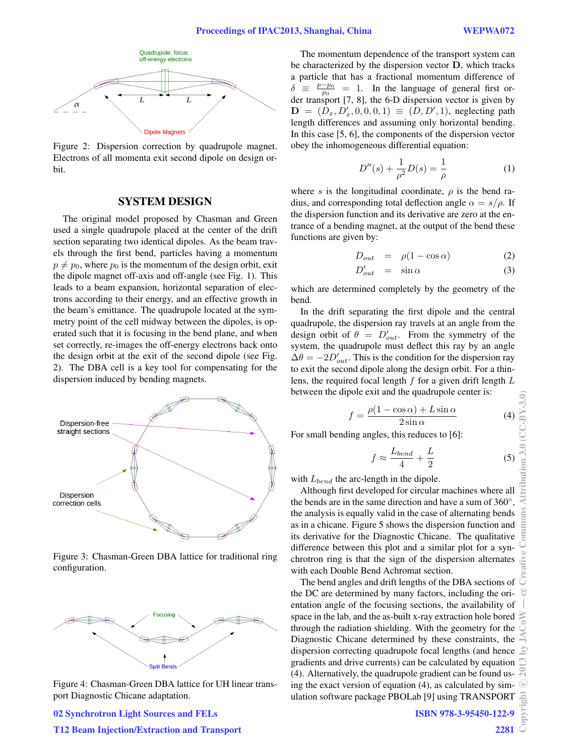

Figure 2: Dispersion correction by quadrupole magnet. Electrons of all momenta exit second dipole on design orbit.

#### SYSTEM DESIGN

The original model proposed by Chasman and Green used a single quadrupole placed at the center of the drift section separating two identical dipoles. As the beam travels through the first bend, particles having a momentum  $p \neq p_0$ , where  $p_0$  is the momentum of the design orbit, exit the dipole magnet off-axis and off-angle (see Fig. 1). This leads to a beam expansion, horizontal separation of electrons according to their energy, and an effective growth in the beam's emittance. The quadrupole located at the symmetry point of the cell midway between the dipoles, is operated such that it is focusing in the bend plane, and when set correctly, re-images the off-energy electrons back onto the design orbit at the exit of the second dipole (see Fig. 2). The DBA cell is a key tool for compensating for the dispersion induced by bending magnets.



Figure 3: Chasman-Green DBA lattice for traditional ring configuration.



Figure 4: Chasman-Green DBA lattice for UH linear transport Diagnostic Chicane adaptation.

The momentum dependence of the transport system can be characterized by the dispersion vector D, which tracks a particle that has a fractional momentum difference of  $\delta \equiv$  $\frac{p-p_0}{p_0}$  = 1. In the language of general first order transport [7, 8], the 6-D dispersion vector is given by  $\mathbf{D} = (D_x, D'_x, 0, 0, 0, 1) \equiv (D, D', 1)$ , neglecting path length differences and assuming only horizontal bending. In this case [5, 6], the components of the dispersion vector obey the inhomogeneous differential equation:

$$
D''(s) + \frac{1}{\rho^2}D(s) = \frac{1}{\rho}
$$
 (1)

where s is the longitudinal coordinate,  $\rho$  is the bend radius, and corresponding total deflection angle  $\alpha = s/\rho$ . If the dispersion function and its derivative are zero at the entrance of a bending magnet, at the output of the bend these functions are given by:

$$
D_{out} = \rho(1 - \cos \alpha) \tag{2}
$$

$$
D'_{out} = \sin \alpha \tag{3}
$$

which are determined completely by the geometry of the bend.

In the drift separating the first dipole and the central quadrupole, the dispersion ray travels at an angle from the design orbit of  $\theta = D'_{out}$ . From the symmetry of the system, the quadrupole must deflect this ray by an angle  $\Delta\theta = -2D'_{out}$ . This is the condition for the dispersion ray to exit the second dipole along the design orbit. For a thinlens, the required focal length  $f$  for a given drift length  $L$ between the dipole exit and the quadrupole center is:

$$
f = \frac{\rho(1 - \cos \alpha) + L \sin \alpha}{2 \sin \alpha} \tag{4}
$$

For small bending angles, this reduces to [6]:

$$
f \approx \frac{L_{bend}}{4} + \frac{L}{2} \tag{5}
$$

with  $L_{bend}$  the arc-length in the dipole.

Although first developed for circular machines where all the bends are in the same direction and have a sum of 360°, the analysis is equally valid in the case of alternating bends as in a chicane. Figure 5 shows the dispersion function and its derivative for the Diagnostic Chicane. The qualitative difference between this plot and a similar plot for a synchrotron ring is that the sign of the dispersion alternates with each Double Bend Achromat section.

The bend angles and drift lengths of the DBA sections of the DC are determined by many factors, including the orientation angle of the focusing sections, the availability of space in the lab, and the as-built x-ray extraction hole bored through the radiation shielding. With the geometry for the Diagnostic Chicane determined by these constraints, the dispersion correcting quadrupole focal lengths (and hence gradients and drive currents) can be calculated by equation (4). Alternatively, the quadrupole gradient can be found using the exact version of equation (4), as calculated by simulation software package PBOLab [9] using TRANSPORT

Attribution 3.0  $(CCEY-3.0)$ 

೮

5

T12 Beam Injection/Extraction and Transport

02 Synchrotron Light Sources and FELs